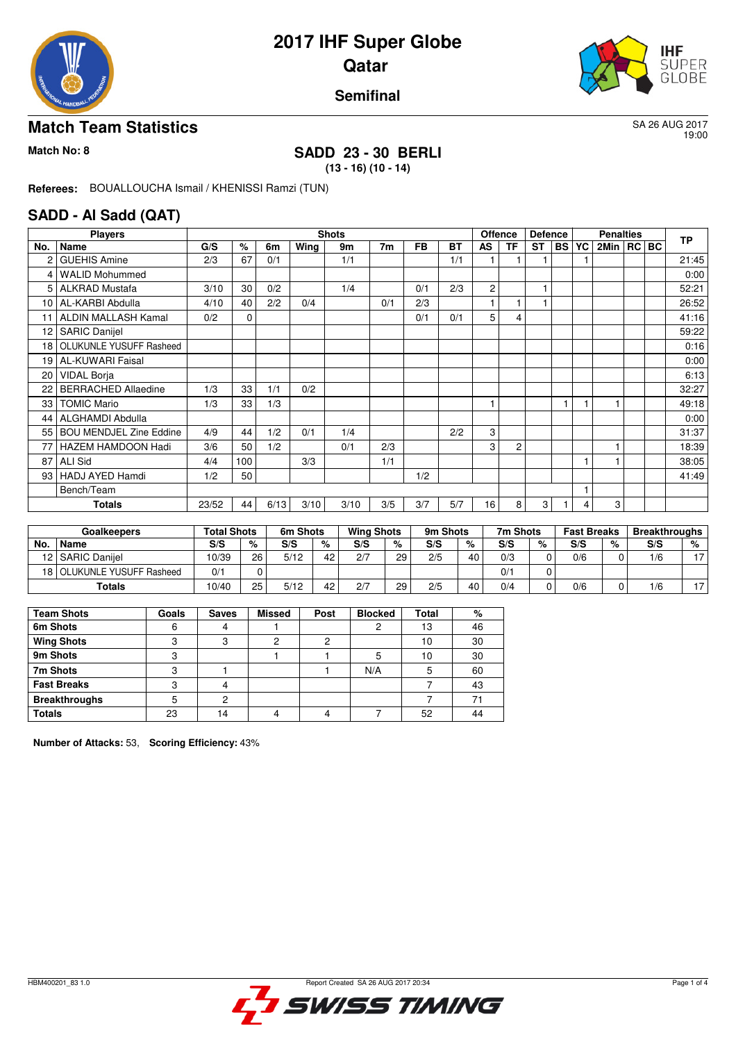



#### **Semifinal**

#### **Match Team Statistics** SA 26 AUG 2017

19:00

## **Match No: 8 SADD 23 - 30 BERLI**

**(13 - 16) (10 - 14)**

**Referees:** BOUALLOUCHA Ismail / KHENISSI Ramzi (TUN)

#### **SADD - Al Sadd (QAT)**

|     | <b>Players</b>                 |       | <b>Shots</b> |      |      |      |     |           |           | <b>Offence</b><br><b>Defence</b> |                |           |      |    | <b>Penalties</b> | <b>TP</b> |       |
|-----|--------------------------------|-------|--------------|------|------|------|-----|-----------|-----------|----------------------------------|----------------|-----------|------|----|------------------|-----------|-------|
| No. | Name                           | G/S   | %            | 6m   | Wing | 9m   | 7m  | <b>FB</b> | <b>BT</b> | AS                               | <b>TF</b>      | <b>ST</b> | BS I | YC | 2Min   RC   BC   |           |       |
| 2   | <b>GUEHIS Amine</b>            | 2/3   | 67           | 0/1  |      | 1/1  |     |           | 1/1       |                                  |                |           |      |    |                  |           | 21:45 |
| 4   | <b>WALID Mohummed</b>          |       |              |      |      |      |     |           |           |                                  |                |           |      |    |                  |           | 0:00  |
| 5.  | <b>ALKRAD Mustafa</b>          | 3/10  | 30           | 0/2  |      | 1/4  |     | 0/1       | 2/3       | 2                                |                |           |      |    |                  |           | 52:21 |
| 10  | AL-KARBI Abdulla               | 4/10  | 40           | 2/2  | 0/4  |      | 0/1 | 2/3       |           |                                  |                |           |      |    |                  |           | 26:52 |
| 11  | ALDIN MALLASH Kamal            | 0/2   | $\mathbf 0$  |      |      |      |     | 0/1       | 0/1       | 5                                | 4              |           |      |    |                  |           | 41:16 |
| 12  | <b>SARIC Danijel</b>           |       |              |      |      |      |     |           |           |                                  |                |           |      |    |                  |           | 59:22 |
|     | 18 OLUKUNLE YUSUFF Rasheed     |       |              |      |      |      |     |           |           |                                  |                |           |      |    |                  |           | 0:16  |
| 19  | <b>AL-KUWARI Faisal</b>        |       |              |      |      |      |     |           |           |                                  |                |           |      |    |                  |           | 0:00  |
| 20  | <b>VIDAL Borja</b>             |       |              |      |      |      |     |           |           |                                  |                |           |      |    |                  |           | 6:13  |
| 22  | <b>BERRACHED Allaedine</b>     | 1/3   | 33           | 1/1  | 0/2  |      |     |           |           |                                  |                |           |      |    |                  |           | 32:27 |
| 33  | <b>TOMIC Mario</b>             | 1/3   | 33           | 1/3  |      |      |     |           |           |                                  |                |           |      |    |                  |           | 49:18 |
| 44  | ALGHAMDI Abdulla               |       |              |      |      |      |     |           |           |                                  |                |           |      |    |                  |           | 0:00  |
| 55  | <b>BOU MENDJEL Zine Eddine</b> | 4/9   | 44           | 1/2  | 0/1  | 1/4  |     |           | 2/2       | 3                                |                |           |      |    |                  |           | 31:37 |
| 77  | <b>HAZEM HAMDOON Hadi</b>      | 3/6   | 50           | 1/2  |      | 0/1  | 2/3 |           |           | 3                                | $\overline{c}$ |           |      |    |                  |           | 18:39 |
| 87  | <b>ALI Sid</b>                 | 4/4   | 100          |      | 3/3  |      | 1/1 |           |           |                                  |                |           |      |    |                  |           | 38:05 |
| 93  | HADJ AYED Hamdi                | 1/2   | 50           |      |      |      |     | 1/2       |           |                                  |                |           |      |    |                  |           | 41:49 |
|     | Bench/Team                     |       |              |      |      |      |     |           |           |                                  |                |           |      |    |                  |           |       |
|     | Totals                         | 23/52 | 44           | 6/13 | 3/10 | 3/10 | 3/5 | 3/7       | 5/7       | 16                               | 8              | 3         |      | 4  | 3                |           |       |

|     | <b>Goalkeepers</b>        | Total Shots |    | 6m Shots |    | <b>Wing Shots</b> |    | 9m Shots |    | 7m Shots |   | <b>Fast Breaks</b> |   | <b>Breakthroughs</b> |                |
|-----|---------------------------|-------------|----|----------|----|-------------------|----|----------|----|----------|---|--------------------|---|----------------------|----------------|
| No. | <b>Name</b>               | S/S         | %  | S/S      | %  | S/S               | %  | S/S      | %  | S/S      | % | S/S                | % | S/S                  | %              |
| 12  | <b>SARIC Daniiel</b>      | 10/39       | 26 | 5/12     | 42 | 2/7               | 29 | 2/5      | 40 | 0/3      |   | 0/6                |   | 1/6                  | $\overline{ }$ |
| 181 | I OLUKUNLE YUSUFF Rasheed | 0/1         |    |          |    |                   |    |          |    | 0/1      |   |                    |   |                      |                |
|     | Totals                    | 10/40       | 25 | 5/12     | 42 | 2/7               | 29 | 2/5      | 40 | 0/4      |   | 0/6                |   | /6                   | $\rightarrow$  |

| <b>Team Shots</b>    | Goals | <b>Saves</b>   | <b>Missed</b> | Post | <b>Blocked</b> | Total | %  |
|----------------------|-------|----------------|---------------|------|----------------|-------|----|
| 6m Shots             | 6     |                |               |      |                | 13    | 46 |
| <b>Wing Shots</b>    | c     | 3              | 2             | っ    |                | 10    | 30 |
| 9m Shots             |       |                |               |      | 5              | 10    | 30 |
| 7m Shots             |       |                |               |      | N/A            | 5     | 60 |
| <b>Fast Breaks</b>   | ◠     |                |               |      |                |       | 43 |
| <b>Breakthroughs</b> |       |                |               |      |                |       | 71 |
| <b>Totals</b>        | 23    | $\overline{4}$ |               |      |                | 52    | 44 |

**Number of Attacks:** 53, **Scoring Efficiency:** 43%

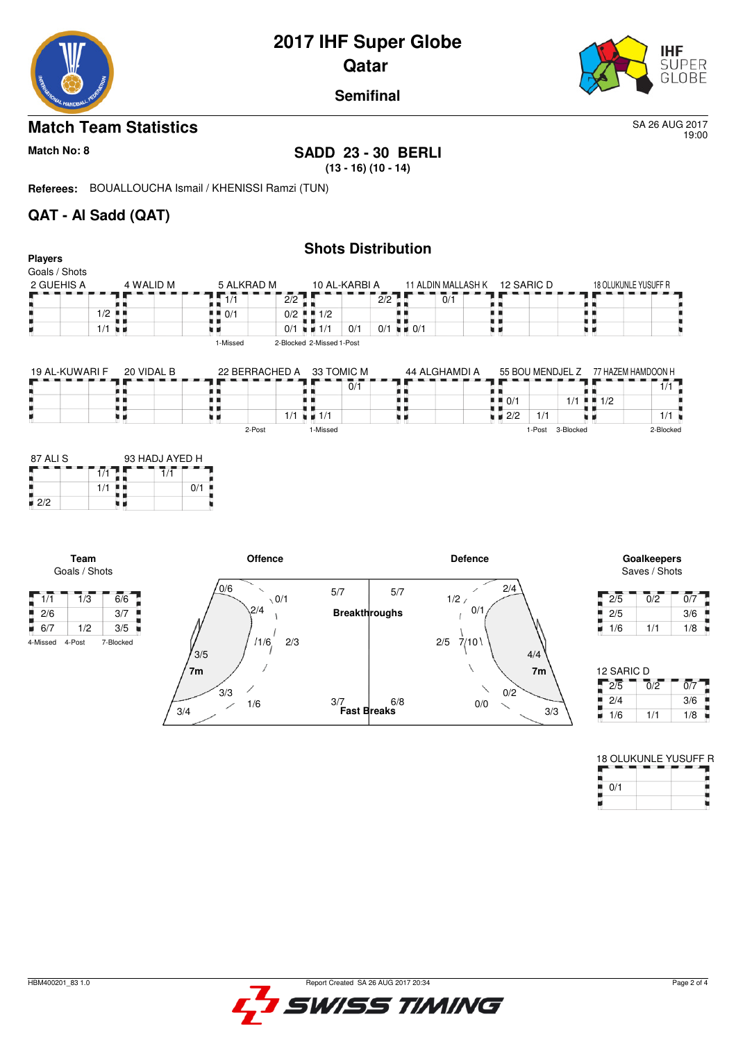

19:00

**Semifinal**

### **Match Team Statistics** SA 26 AUG 2017

### **Match No: 8 SADD 23 - 30 BERLI**

**(13 - 16) (10 - 14)**

**Referees:** BOUALLOUCHA Ismail / KHENISSI Ramzi (TUN)

3/4

1/6

 $\overline{\phantom{a}}$ 

 $3/3$ 

### **QAT - Al Sadd (QAT)**

|                                             |                      |                |                  |                                          | <b>Shots Distribution</b> |                             |     |                            |                             |     |                    |        |           |                                     |                              |                  |
|---------------------------------------------|----------------------|----------------|------------------|------------------------------------------|---------------------------|-----------------------------|-----|----------------------------|-----------------------------|-----|--------------------|--------|-----------|-------------------------------------|------------------------------|------------------|
| <b>Players</b>                              |                      |                |                  |                                          |                           |                             |     |                            |                             |     |                    |        |           |                                     |                              |                  |
| Goals / Shots                               |                      |                |                  |                                          |                           |                             |     |                            |                             |     |                    |        |           |                                     |                              |                  |
| 2 GUEHIS A                                  |                      | 4 WALID M      | 5 ALKRAD M       |                                          | 10 AL-KARBI A             |                             |     |                            | 11 ALDIN MALLASH K          |     | 12 SARIC D         |        |           | 18 OLUKUNLE YUSUFF R                |                              |                  |
|                                             |                      |                | $\overline{1/1}$ | 2/2                                      |                           |                             | 2/2 |                            | $\overline{0}/\overline{1}$ |     |                    |        |           | . .                                 |                              |                  |
|                                             | $\frac{1}{2}$        |                | 0/1              | 0/2                                      | $\blacksquare$ 1/2        |                             |     | . .                        |                             |     |                    |        | . .       | . .                                 |                              |                  |
|                                             | $1/1$ $\blacksquare$ |                |                  |                                          | $0/1 = 1/1$               | 0/1                         |     | $0/1$ $\blacksquare$ $0/1$ |                             | 見 目 |                    |        |           | uк                                  |                              |                  |
|                                             |                      |                | 1-Missed         |                                          | 2-Blocked 2-Missed 1-Post |                             |     |                            |                             |     |                    |        |           |                                     |                              |                  |
| 19 AL-KUWARI F                              |                      | 20 VIDAL B     |                  | 22 BERRACHED A                           | 33 TOMIC M                |                             |     |                            | 44 ALGHAMDI A               |     |                    |        |           | 55 BOU MENDJEL Z 77 HAZEM HAMDOON H |                              |                  |
|                                             |                      |                |                  |                                          |                           | $\overline{0}/\overline{1}$ |     |                            |                             |     |                    |        |           |                                     | 1/1                          |                  |
|                                             | . .                  |                |                  |                                          |                           |                             |     |                            |                             |     | $\blacksquare$ 0/1 |        | $1/1$ HH  | 1/2                                 |                              |                  |
|                                             | . .<br>. .           |                | ۰.               |                                          | $1/1$ $\equiv$ $1/1$      |                             |     | . .                        |                             |     | $\blacksquare$ 2/2 | 1/1    |           | 9 H                                 | $1/1$ $\binom{1}{1}$         |                  |
|                                             |                      |                |                  | 2-Post                                   | 1-Missed                  |                             |     |                            |                             |     |                    | 1-Post | 3-Blocked |                                     | 2-Blocked                    |                  |
| $\blacksquare$ 2/2                          | 1/1<br>1/1<br>. .    | 7/1<br>0/1     |                  |                                          |                           |                             |     |                            |                             |     |                    |        |           |                                     |                              |                  |
| Team<br>Goals / Shots                       |                      |                |                  | <b>Offence</b>                           |                           |                             |     |                            | <b>Defence</b>              |     |                    |        |           |                                     | Goalkeepers<br>Saves / Shots |                  |
| $\sqrt{1/1}$<br>$\overline{1}/\overline{3}$ | $\overline{6/6}$     |                | 0/6              | $\overline{\phantom{0}}$<br>$\sqrt{0/1}$ | 5/7                       |                             | 5/7 |                            | 1/2/                        |     | 2/4                |        |           | 2/5                                 | $\overline{0}/\overline{2}$  | $\overline{0/7}$ |
| 2/6                                         | 3/7                  |                |                  | 2/4                                      |                           | <b>Breakthroughs</b>        |     |                            |                             | 0/1 |                    |        |           | 2/5                                 |                              | 3/6              |
| 6/7<br>1/2                                  | 3/5                  |                |                  |                                          |                           |                             |     |                            |                             |     |                    |        |           | 1/6<br>u,                           | 1/1                          | 1/8              |
| 4-Post<br>4-Missed                          | 7-Blocked            | 3/5            |                  | 2/3<br>1/6                               |                           |                             |     |                            | 2/5<br>7/10                 |     |                    | 4/4    |           |                                     |                              |                  |
|                                             |                      | 7 <sub>m</sub> |                  |                                          |                           |                             |     |                            |                             |     |                    | 7m     |           | 12 SARIC D                          |                              |                  |

**Fast Breaks** 3/7

6/8

| $2/5$ 7/10 | 4/4 |                  |                  |     |
|------------|-----|------------------|------------------|-----|
|            | 7m  | 12 SARIC D       |                  |     |
| 0/2        |     | $\overline{2/5}$ | $\overline{0/2}$ | 0/7 |
| 0/0        |     | 2/4              |                  | 3/6 |
|            | 3/3 | 1/6              | 1/1              | 1/8 |
|            |     |                  |                  |     |

|     | <b>18 OLUKUNLE YUSUFF R</b> |
|-----|-----------------------------|
|     |                             |
| 0/1 |                             |
|     |                             |

| Report Greated SA 26 AUG 2017 20:34 |  |
|-------------------------------------|--|
| L'I SWISS TIMING                    |  |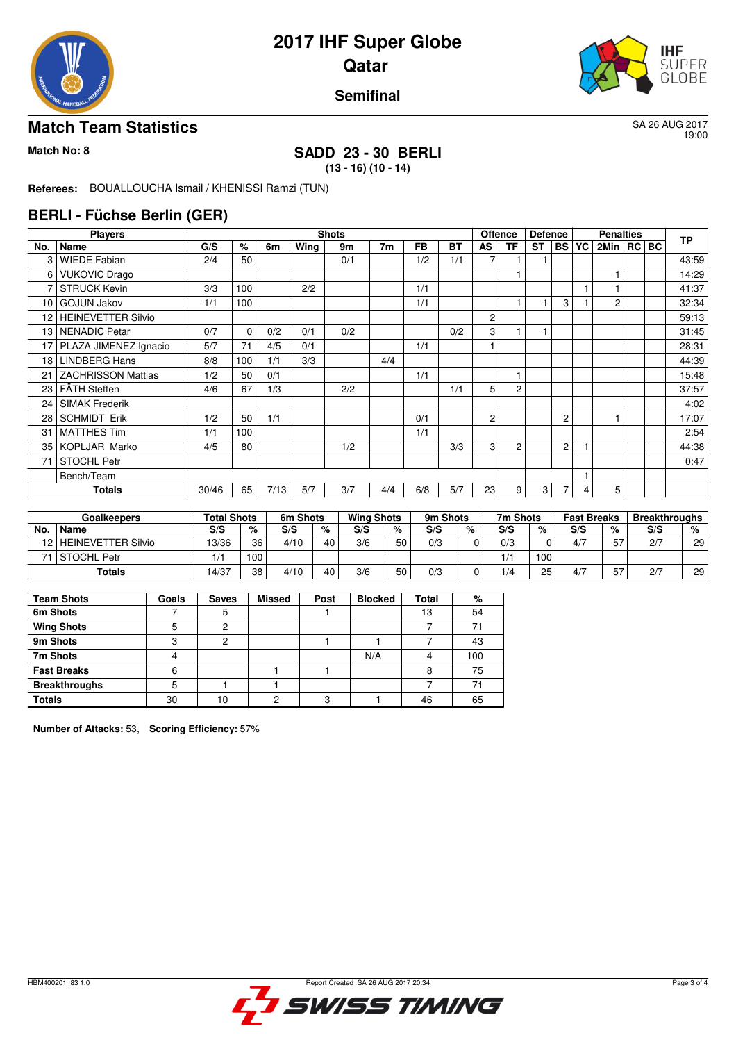



#### **Semifinal**

#### **Match Team Statistics** SA 26 AUG 2017

19:00

## **Match No: 8 SADD 23 - 30 BERLI**

**(13 - 16) (10 - 14)**

**Referees:** BOUALLOUCHA Ismail / KHENISSI Ramzi (TUN)

#### **BERLI - Füchse Berlin (GER)**

|                 | <b>Players</b>            |       | <b>Shots</b> |      |      |     |                |           | <b>Offence</b> |                | <b>Defence</b> |                |                | <b>TP</b> |                |         |       |
|-----------------|---------------------------|-------|--------------|------|------|-----|----------------|-----------|----------------|----------------|----------------|----------------|----------------|-----------|----------------|---------|-------|
| No.             | Name                      | G/S   | %            | 6m   | Wing | 9m  | 7 <sub>m</sub> | <b>FB</b> | <b>BT</b>      | AS             | TF             | ST             | <b>BS</b>      | YC        | 2Min           | RC   BC |       |
| З               | <b>WIEDE Fabian</b>       | 2/4   | 50           |      |      | 0/1 |                | 1/2       | 1/1            |                |                |                |                |           |                |         | 43:59 |
| 6               | <b>VUKOVIC Drago</b>      |       |              |      |      |     |                |           |                |                |                |                |                |           |                |         | 14:29 |
|                 | <b>STRUCK Kevin</b>       | 3/3   | 100          |      | 2/2  |     |                | 1/1       |                |                |                |                |                |           |                |         | 41:37 |
| 10              | <b>GOJUN Jakov</b>        | 1/1   | 100          |      |      |     |                | 1/1       |                |                |                |                | 3              |           | $\overline{2}$ |         | 32:34 |
| 12              | <b>HEINEVETTER Silvio</b> |       |              |      |      |     |                |           |                | $\overline{c}$ |                |                |                |           |                |         | 59:13 |
| 13              | NENADIC Petar             | 0/7   | 0            | 0/2  | 0/1  | 0/2 |                |           | 0/2            | 3              |                |                |                |           |                |         | 31:45 |
| 17              | PLAZA JIMENEZ Ignacio     | 5/7   | 71           | 4/5  | 0/1  |     |                | 1/1       |                |                |                |                |                |           |                |         | 28:31 |
| 18 <sup>1</sup> | <b>LINDBERG Hans</b>      | 8/8   | 100          | 1/1  | 3/3  |     | 4/4            |           |                |                |                |                |                |           |                |         | 44:39 |
| 21              | <b>ZACHRISSON Mattias</b> | 1/2   | 50           | 0/1  |      |     |                | 1/1       |                |                | 1              |                |                |           |                |         | 15:48 |
|                 | 23   FÄTH Steffen         | 4/6   | 67           | 1/3  |      | 2/2 |                |           | 1/1            | 5              | 2              |                |                |           |                |         | 37:57 |
| 24              | <b>SIMAK Frederik</b>     |       |              |      |      |     |                |           |                |                |                |                |                |           |                |         | 4:02  |
| 28              | <b>SCHMIDT Erik</b>       | 1/2   | 50           | 1/1  |      |     |                | 0/1       |                | $\overline{c}$ |                |                | 2              |           |                |         | 17:07 |
| 31              | <b>MATTHES Tim</b>        | 1/1   | 100          |      |      |     |                | 1/1       |                |                |                |                |                |           |                |         | 2:54  |
|                 | 35 KOPLJAR Marko          | 4/5   | 80           |      |      | 1/2 |                |           | 3/3            | 3              | 2              |                | $\overline{2}$ |           |                |         | 44:38 |
| 71              | <b>STOCHL Petr</b>        |       |              |      |      |     |                |           |                |                |                |                |                |           |                |         | 0:47  |
|                 | Bench/Team                |       |              |      |      |     |                |           |                |                |                |                |                |           |                |         |       |
|                 | Totals                    | 30/46 | 65           | 7/13 | 5/7  | 3/7 | 4/4            | 6/8       | 5/7            | 23             | 9              | 3 <sub>1</sub> | 7              | 4         | 5              |         |       |

|     | <b>Goalkeepers</b>      | <b>Total Shots</b> |     | 6m Shots |    | <b>Wing Shots</b> |    | 9m Shots |   | 7m Shots |     | <b>Fast Breaks</b> |            | <b>Breakthroughs</b> |                 |
|-----|-------------------------|--------------------|-----|----------|----|-------------------|----|----------|---|----------|-----|--------------------|------------|----------------------|-----------------|
| No. | <b>Name</b>             | S/S                | %   | S/S      | %  | S/S               | %  | S/S      | % | S/S      | %   | S/S                | %          | S/S                  | %               |
|     | 12   HEINEVETTER Silvio | 13/36              | 36  | 4/10     | 40 | 3/6               | 50 | 0/3      |   | 0/3      |     | 4/7                | 57<br>ັ    | 2/7                  | 29              |
|     | l STOCHL Petr           | 1/1                | 100 |          |    |                   |    |          |   | 1/1      | 100 |                    |            |                      |                 |
|     | Totals                  | 14/37              | 38  | 4/10     | 40 | 3/6               | 50 | 0/3      |   | 1/4      | 25  | 4/7                | $- -$<br>ັ | 2/7                  | 29 <sub>1</sub> |

| <b>Team Shots</b>    | Goals | <b>Saves</b> | <b>Missed</b> | Post | <b>Blocked</b> | <b>Total</b> | %   |
|----------------------|-------|--------------|---------------|------|----------------|--------------|-----|
| 6m Shots             |       | 5            |               |      |                | 13           | 54  |
| <b>Wing Shots</b>    |       | റ            |               |      |                |              | 71  |
| 9m Shots             | ົ     | っ            |               |      |                |              | 43  |
| 7m Shots             |       |              |               |      | N/A            |              | 100 |
| <b>Fast Breaks</b>   |       |              |               |      |                |              | 75  |
| <b>Breakthroughs</b> | 5     |              |               |      |                |              | 7.  |
| <b>Totals</b>        | 30    | 10           | ◠             | 3    |                | 46           | 65  |

**Number of Attacks:** 53, **Scoring Efficiency:** 57%